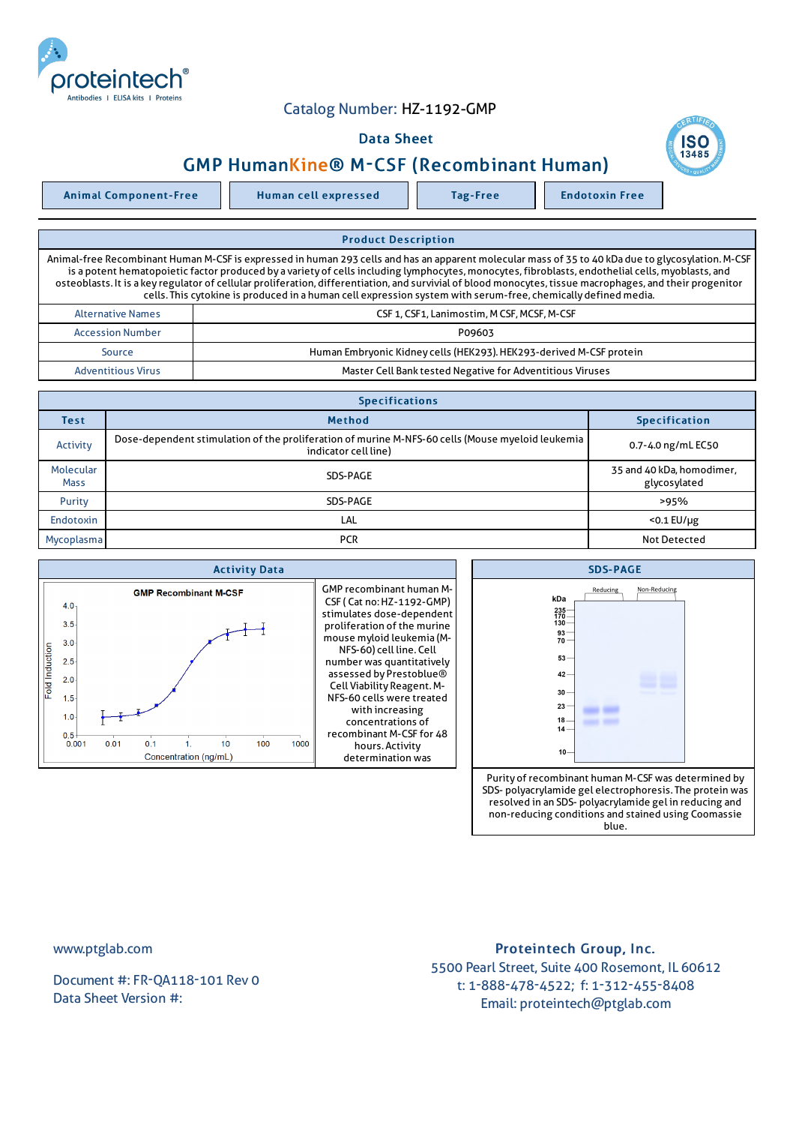

## Catalog Number: HZ-1192-GMP

## Data Sheet



Animal Component-Free Human cell expressed Tag-Free Tag Endotoxin Free



Adventitious Virus **Master Cell Bank tested Negative for Adventitious Viruses** Adventitious Viruses

| <b>Specifications</b>    |                                                                                                                          |                                           |  |  |  |
|--------------------------|--------------------------------------------------------------------------------------------------------------------------|-------------------------------------------|--|--|--|
| Test                     | <b>Method</b>                                                                                                            | <b>Specification</b>                      |  |  |  |
| Activity                 | Dose-dependent stimulation of the proliferation of murine M-NFS-60 cells (Mouse myeloid leukemia<br>indicator cell line) | 0.7-4.0 ng/mL EC50                        |  |  |  |
| Molecular<br><b>Mass</b> | SDS-PAGE                                                                                                                 | 35 and 40 kDa, homodimer,<br>glycosylated |  |  |  |
| Purity                   | SDS-PAGE                                                                                                                 | >95%                                      |  |  |  |
| Endotoxin                | LAL                                                                                                                      | $<$ 0.1 EU/ $\mu$ g                       |  |  |  |
| Mycoplasma               | <b>PCR</b>                                                                                                               | <b>Not Detected</b>                       |  |  |  |





www.ptglab.com

Document #: FR-QA118-101 Rev 0 Data Sheet Version #:

Proteintech Group, Inc. 5500 Pearl Street, Suite 400 Rosemont, IL 60612 t: 1-888-478-4522; f: 1-312-455-8408 Email: proteintech@ptglab.com